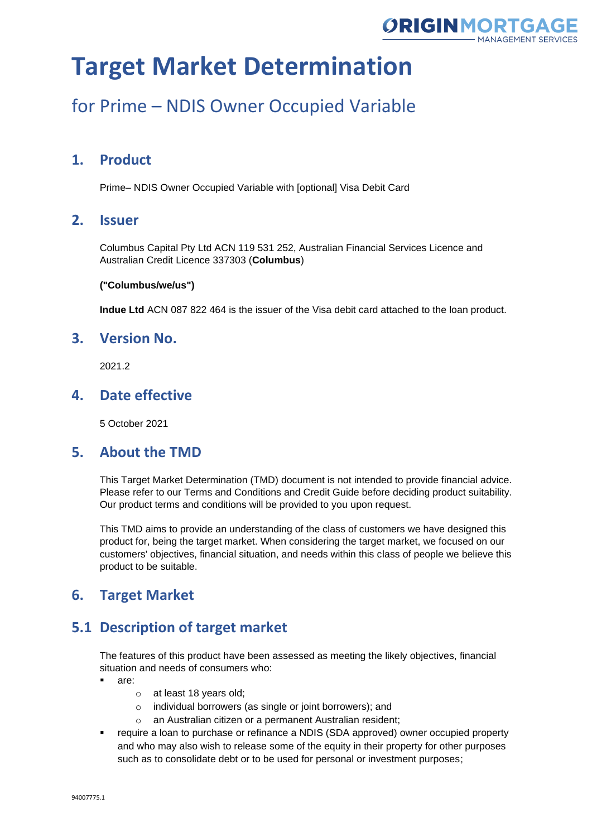

### for Prime – NDIS Owner Occupied Variable

### **1. Product**

Prime– NDIS Owner Occupied Variable with [optional] Visa Debit Card

### **2. Issuer**

Columbus Capital Pty Ltd ACN 119 531 252, Australian Financial Services Licence and Australian Credit Licence 337303 (**Columbus**)

#### **("Columbus/we/us")**

**Indue Ltd** ACN 087 822 464 is the issuer of the Visa debit card attached to the loan product.

### **3. Version No.**

2021.2

### **4. Date effective**

5 October 2021

#### **5. About the TMD**

This Target Market Determination (TMD) document is not intended to provide financial advice. Please refer to our Terms and Conditions and Credit Guide before deciding product suitability. Our product terms and conditions will be provided to you upon request.

This TMD aims to provide an understanding of the class of customers we have designed this product for, being the target market. When considering the target market, we focused on our customers' objectives, financial situation, and needs within this class of people we believe this product to be suitable.

### **6. Target Market**

### **5.1 Description of target market**

The features of this product have been assessed as meeting the likely objectives, financial situation and needs of consumers who:

- are:
	- o at least 18 years old;
	- o individual borrowers (as single or joint borrowers); and
	- o an Australian citizen or a permanent Australian resident;
- require a loan to purchase or refinance a NDIS (SDA approved) owner occupied property and who may also wish to release some of the equity in their property for other purposes such as to consolidate debt or to be used for personal or investment purposes;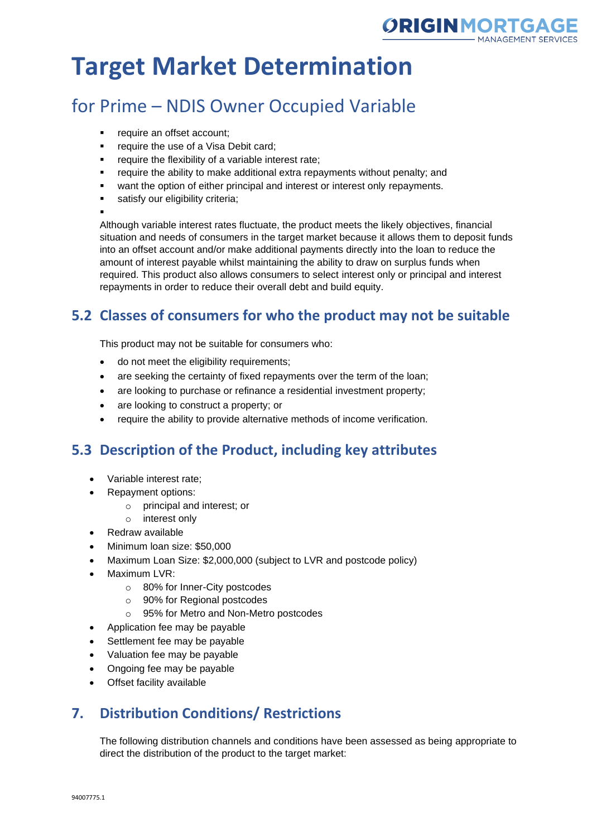

## for Prime – NDIS Owner Occupied Variable

- require an offset account;
- **•** require the use of a Visa Debit card;
- require the flexibility of a variable interest rate;
- require the ability to make additional extra repayments without penalty; and
- want the option of either principal and interest or interest only repayments.
- satisfy our eligibility criteria;

▪

Although variable interest rates fluctuate, the product meets the likely objectives, financial situation and needs of consumers in the target market because it allows them to deposit funds into an offset account and/or make additional payments directly into the loan to reduce the amount of interest payable whilst maintaining the ability to draw on surplus funds when required. This product also allows consumers to select interest only or principal and interest repayments in order to reduce their overall debt and build equity.

### **5.2 Classes of consumers for who the product may not be suitable**

This product may not be suitable for consumers who:

- do not meet the eligibility requirements;
- are seeking the certainty of fixed repayments over the term of the loan;
- are looking to purchase or refinance a residential investment property;
- are looking to construct a property; or
- require the ability to provide alternative methods of income verification.

### **5.3 Description of the Product, including key attributes**

- Variable interest rate;
- Repayment options:
	- o principal and interest; or
	- o interest only
- Redraw available
- Minimum loan size: \$50,000
- Maximum Loan Size: \$2,000,000 (subject to LVR and postcode policy)
- Maximum LVR:
	- o 80% for Inner-City postcodes
	- o 90% for Regional postcodes
	- o 95% for Metro and Non-Metro postcodes
- Application fee may be payable
- Settlement fee may be payable
- Valuation fee may be payable
- Ongoing fee may be payable
- Offset facility available

### **7. Distribution Conditions/ Restrictions**

The following distribution channels and conditions have been assessed as being appropriate to direct the distribution of the product to the target market: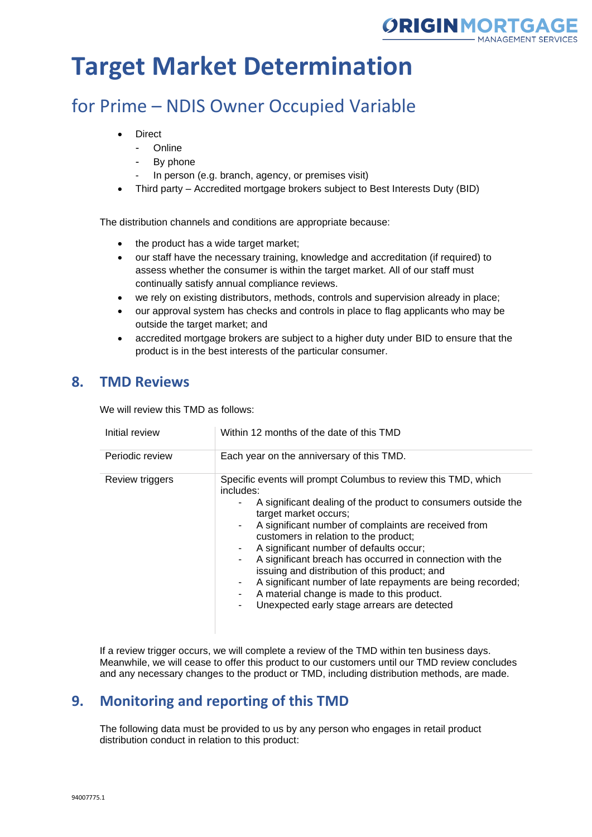

### for Prime – NDIS Owner Occupied Variable

- **Direct** 
	- Online
	- By phone
	- In person (e.g. branch, agency, or premises visit)
- Third party Accredited mortgage brokers subject to Best Interests Duty (BID)

The distribution channels and conditions are appropriate because:

- the product has a wide target market;
- our staff have the necessary training, knowledge and accreditation (if required) to assess whether the consumer is within the target market. All of our staff must continually satisfy annual compliance reviews.
- we rely on existing distributors, methods, controls and supervision already in place;
- our approval system has checks and controls in place to flag applicants who may be outside the target market; and
- accredited mortgage brokers are subject to a higher duty under BID to ensure that the product is in the best interests of the particular consumer.

### **8. TMD Reviews**

We will review this TMD as follows:

| Initial review  | Within 12 months of the date of this TMD                                                                                                                                                                                                                                                                                                                                                                                                                                                                                                                                                         |
|-----------------|--------------------------------------------------------------------------------------------------------------------------------------------------------------------------------------------------------------------------------------------------------------------------------------------------------------------------------------------------------------------------------------------------------------------------------------------------------------------------------------------------------------------------------------------------------------------------------------------------|
| Periodic review | Each year on the anniversary of this TMD.                                                                                                                                                                                                                                                                                                                                                                                                                                                                                                                                                        |
| Review triggers | Specific events will prompt Columbus to review this TMD, which<br>includes:<br>A significant dealing of the product to consumers outside the<br>target market occurs;<br>A significant number of complaints are received from<br>customers in relation to the product;<br>A significant number of defaults occur;<br>A significant breach has occurred in connection with the<br>issuing and distribution of this product; and<br>A significant number of late repayments are being recorded;<br>A material change is made to this product.<br>Unexpected early stage arrears are detected<br>٠. |

If a review trigger occurs, we will complete a review of the TMD within ten business days. Meanwhile, we will cease to offer this product to our customers until our TMD review concludes and any necessary changes to the product or TMD, including distribution methods, are made.

### **9. Monitoring and reporting of this TMD**

The following data must be provided to us by any person who engages in retail product distribution conduct in relation to this product: